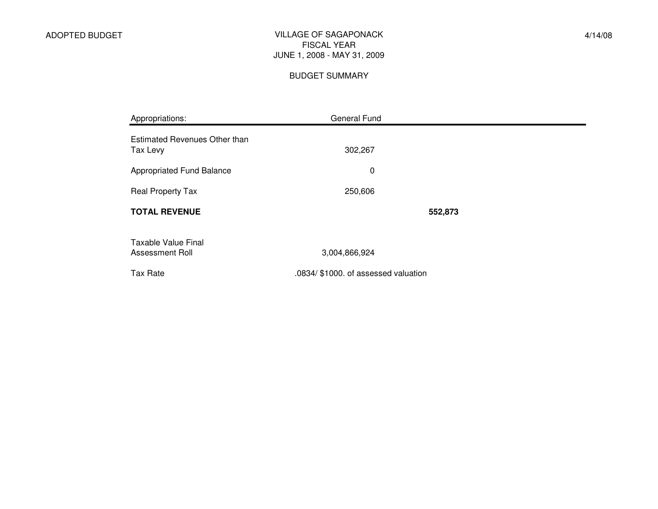#### VILLAGE OF SAGAPONACK FISCAL YEAR JUNE 1, 2008 - MAY 31, 2009

#### BUDGET SUMMARY

| Appropriations:                               | General Fund                         |  |
|-----------------------------------------------|--------------------------------------|--|
| Estimated Revenues Other than<br>Tax Levy     | 302,267                              |  |
| Appropriated Fund Balance                     | $\mathbf 0$                          |  |
| Real Property Tax                             | 250,606                              |  |
| <b>TOTAL REVENUE</b>                          | 552,873                              |  |
| <b>Taxable Value Final</b><br>Assessment Roll | 3,004,866,924                        |  |
| Tax Rate                                      | .0834/ \$1000. of assessed valuation |  |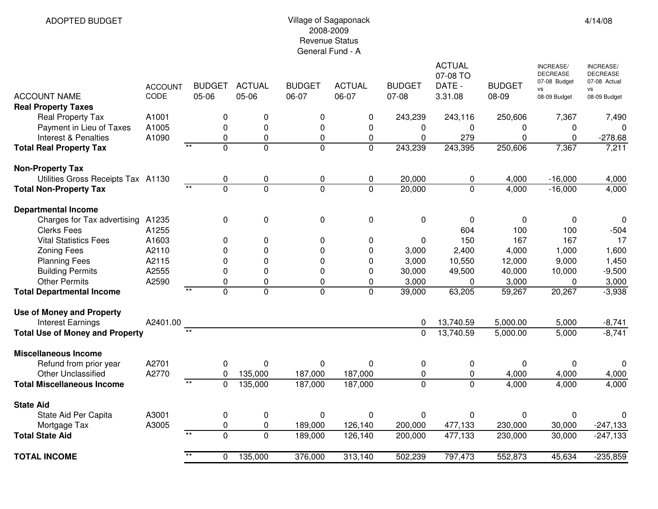#### Village of Sagaponack 2008-2009 Revenue StatusGeneral Fund - A

| <b>Real Property Taxes</b><br>Real Property Tax<br>243,239<br>243,116<br>250,606<br>A1001<br>0<br>0<br>0<br>0<br>7,367<br>7,490<br>0<br>0<br>Payment in Lieu of Taxes<br>A1005<br>0<br>0<br>0<br>$\mathbf{0}$<br>0<br>$\Omega$<br>0<br>A1090<br>0<br>0<br>279<br>$\mathbf 0$<br>Interest & Penalties<br>0<br>0<br>0<br>$\Omega$<br>$-278.68$<br>$\overline{**}$<br>$\overline{0}$<br>$\overline{0}$<br>0<br>$\Omega$<br>243,239<br>243,395<br>250,606<br>7,211<br><b>Total Real Property Tax</b><br>7,367<br><b>Non-Property Tax</b><br>Utilities Gross Receipts Tax A1130<br>20,000<br>0<br>4,000<br>$-16,000$<br>4,000<br>0<br>0<br>0<br>0<br>$\overline{**}$<br>0<br>$\Omega$<br>$\Omega$<br>$\Omega$<br>20,000<br>0<br>4,000<br>$-16,000$<br>4,000<br><b>Total Non-Property Tax</b><br><b>Departmental Income</b><br>$\mathbf 0$<br>Charges for Tax advertising<br>A1235<br>$\Omega$<br>$\Omega$<br>$\mathbf{0}$<br>0<br>0<br>0<br>$\mathbf{0}$<br>0<br><b>Clerks Fees</b><br>604<br>100<br>100<br>$-504$<br>A1255<br>150<br>17<br><b>Vital Statistics Fees</b><br>A1603<br>167<br>167<br>0<br>0<br>0<br>0<br>0<br>A2110<br>0<br><b>Zoning Fees</b><br>0<br>$\Omega$<br>0<br>3,000<br>2,400<br>4,000<br>1,000<br>1,600<br>A2115<br>0<br>0<br>0<br>3,000<br>10,550<br>9,000<br>1,450<br><b>Planning Fees</b><br>0<br>12,000<br>A2555<br>0<br>0<br>0<br>49,500<br>40,000<br>$-9,500$<br><b>Building Permits</b><br>0<br>30,000<br>10,000<br><b>Other Permits</b><br>A2590<br>3,000<br>3,000<br>3,000<br>$\Omega$<br>$\Omega$<br>$\Omega$<br>0<br>$\mathbf{0}$<br>0<br>$\overline{**}$<br>$\Omega$<br>$\overline{0}$<br>$\overline{0}$<br>$\Omega$<br>63,205<br>20,267<br>$-3,938$<br>39,000<br>59,267<br><b>Total Departmental Income</b><br><b>Use of Money and Property</b><br>A2401.00<br>13,740.59<br>5,000.00<br>5,000<br><b>Interest Earnings</b><br>$-8,741$<br>0<br>$**$<br>$-8,741$<br>$\overline{0}$<br>13,740.59<br>5,000<br><b>Total Use of Money and Property</b><br>5,000.00<br><b>Miscellaneous Income</b><br>A2701<br>0<br>0<br>0<br>0<br>0<br>Refund from prior year<br>0<br>0<br>0<br>0<br><b>Other Unclassified</b><br>A2770<br>135,000<br>187,000<br>187,000<br>0<br>$\Omega$<br>0<br>4,000<br>4,000<br>4,000<br>$**$<br><b>Total Miscellaneous Income</b><br>0<br>0<br>$\mathbf{0}$<br>4,000<br>135,000<br>187,000<br>187,000<br>4,000<br>4,000<br><b>State Aid</b><br>State Aid Per Capita<br>0<br>A3001<br>0<br>0<br>0<br>0<br>0<br>0<br>0<br>$\Omega$<br>A3005<br>0<br>0<br>189,000<br>126,140<br>200,000<br>477,133<br>230,000<br>30,000<br>$-247,133$<br>Mortgage Tax<br>$*$<br>$\overline{0}$<br>$\overline{0}$<br>$-247,133$<br>189,000<br>126,140<br>200,000<br>477,133<br>230,000<br>30,000<br><b>Total State Aid</b><br><b>TOTAL INCOME</b><br>135,000<br>376,000<br>313,140<br>502,239<br>797,473<br>552,873<br>45,634<br>$-235,859$<br>$\Omega$ | <b>ACCOUNT NAME</b> | <b>ACCOUNT</b><br>CODE | 05-06 | <b>BUDGET</b> | <b>ACTUAL</b><br>05-06 | <b>BUDGET</b><br>06-07 | <b>ACTUAL</b><br>06-07 | <b>BUDGET</b><br>07-08 | <b>ACTUAL</b><br>07-08 TO<br>DATE -<br>3.31.08 | <b>BUDGET</b><br>08-09 | <b>INCREASE/</b><br><b>DECREASE</b><br>07-08 Budget<br>vs<br>08-09 Budget | <b>INCREASE/</b><br><b>DECREASE</b><br>07-08 Actual<br><b>VS</b><br>08-09 Budget |
|------------------------------------------------------------------------------------------------------------------------------------------------------------------------------------------------------------------------------------------------------------------------------------------------------------------------------------------------------------------------------------------------------------------------------------------------------------------------------------------------------------------------------------------------------------------------------------------------------------------------------------------------------------------------------------------------------------------------------------------------------------------------------------------------------------------------------------------------------------------------------------------------------------------------------------------------------------------------------------------------------------------------------------------------------------------------------------------------------------------------------------------------------------------------------------------------------------------------------------------------------------------------------------------------------------------------------------------------------------------------------------------------------------------------------------------------------------------------------------------------------------------------------------------------------------------------------------------------------------------------------------------------------------------------------------------------------------------------------------------------------------------------------------------------------------------------------------------------------------------------------------------------------------------------------------------------------------------------------------------------------------------------------------------------------------------------------------------------------------------------------------------------------------------------------------------------------------------------------------------------------------------------------------------------------------------------------------------------------------------------------------------------------------------------------------------------------------------------------------------------------------------------------------------------------------------------------------------------------------------------------------------------------------------------------------------------------------------------------------------------------------------------------------------------------------------------------------------------------------------------------------|---------------------|------------------------|-------|---------------|------------------------|------------------------|------------------------|------------------------|------------------------------------------------|------------------------|---------------------------------------------------------------------------|----------------------------------------------------------------------------------|
|                                                                                                                                                                                                                                                                                                                                                                                                                                                                                                                                                                                                                                                                                                                                                                                                                                                                                                                                                                                                                                                                                                                                                                                                                                                                                                                                                                                                                                                                                                                                                                                                                                                                                                                                                                                                                                                                                                                                                                                                                                                                                                                                                                                                                                                                                                                                                                                                                                                                                                                                                                                                                                                                                                                                                                                                                                                                                    |                     |                        |       |               |                        |                        |                        |                        |                                                |                        |                                                                           |                                                                                  |
|                                                                                                                                                                                                                                                                                                                                                                                                                                                                                                                                                                                                                                                                                                                                                                                                                                                                                                                                                                                                                                                                                                                                                                                                                                                                                                                                                                                                                                                                                                                                                                                                                                                                                                                                                                                                                                                                                                                                                                                                                                                                                                                                                                                                                                                                                                                                                                                                                                                                                                                                                                                                                                                                                                                                                                                                                                                                                    |                     |                        |       |               |                        |                        |                        |                        |                                                |                        |                                                                           |                                                                                  |
|                                                                                                                                                                                                                                                                                                                                                                                                                                                                                                                                                                                                                                                                                                                                                                                                                                                                                                                                                                                                                                                                                                                                                                                                                                                                                                                                                                                                                                                                                                                                                                                                                                                                                                                                                                                                                                                                                                                                                                                                                                                                                                                                                                                                                                                                                                                                                                                                                                                                                                                                                                                                                                                                                                                                                                                                                                                                                    |                     |                        |       |               |                        |                        |                        |                        |                                                |                        |                                                                           |                                                                                  |
|                                                                                                                                                                                                                                                                                                                                                                                                                                                                                                                                                                                                                                                                                                                                                                                                                                                                                                                                                                                                                                                                                                                                                                                                                                                                                                                                                                                                                                                                                                                                                                                                                                                                                                                                                                                                                                                                                                                                                                                                                                                                                                                                                                                                                                                                                                                                                                                                                                                                                                                                                                                                                                                                                                                                                                                                                                                                                    |                     |                        |       |               |                        |                        |                        |                        |                                                |                        |                                                                           |                                                                                  |
|                                                                                                                                                                                                                                                                                                                                                                                                                                                                                                                                                                                                                                                                                                                                                                                                                                                                                                                                                                                                                                                                                                                                                                                                                                                                                                                                                                                                                                                                                                                                                                                                                                                                                                                                                                                                                                                                                                                                                                                                                                                                                                                                                                                                                                                                                                                                                                                                                                                                                                                                                                                                                                                                                                                                                                                                                                                                                    |                     |                        |       |               |                        |                        |                        |                        |                                                |                        |                                                                           |                                                                                  |
|                                                                                                                                                                                                                                                                                                                                                                                                                                                                                                                                                                                                                                                                                                                                                                                                                                                                                                                                                                                                                                                                                                                                                                                                                                                                                                                                                                                                                                                                                                                                                                                                                                                                                                                                                                                                                                                                                                                                                                                                                                                                                                                                                                                                                                                                                                                                                                                                                                                                                                                                                                                                                                                                                                                                                                                                                                                                                    |                     |                        |       |               |                        |                        |                        |                        |                                                |                        |                                                                           |                                                                                  |
|                                                                                                                                                                                                                                                                                                                                                                                                                                                                                                                                                                                                                                                                                                                                                                                                                                                                                                                                                                                                                                                                                                                                                                                                                                                                                                                                                                                                                                                                                                                                                                                                                                                                                                                                                                                                                                                                                                                                                                                                                                                                                                                                                                                                                                                                                                                                                                                                                                                                                                                                                                                                                                                                                                                                                                                                                                                                                    |                     |                        |       |               |                        |                        |                        |                        |                                                |                        |                                                                           |                                                                                  |
|                                                                                                                                                                                                                                                                                                                                                                                                                                                                                                                                                                                                                                                                                                                                                                                                                                                                                                                                                                                                                                                                                                                                                                                                                                                                                                                                                                                                                                                                                                                                                                                                                                                                                                                                                                                                                                                                                                                                                                                                                                                                                                                                                                                                                                                                                                                                                                                                                                                                                                                                                                                                                                                                                                                                                                                                                                                                                    |                     |                        |       |               |                        |                        |                        |                        |                                                |                        |                                                                           |                                                                                  |
|                                                                                                                                                                                                                                                                                                                                                                                                                                                                                                                                                                                                                                                                                                                                                                                                                                                                                                                                                                                                                                                                                                                                                                                                                                                                                                                                                                                                                                                                                                                                                                                                                                                                                                                                                                                                                                                                                                                                                                                                                                                                                                                                                                                                                                                                                                                                                                                                                                                                                                                                                                                                                                                                                                                                                                                                                                                                                    |                     |                        |       |               |                        |                        |                        |                        |                                                |                        |                                                                           |                                                                                  |
|                                                                                                                                                                                                                                                                                                                                                                                                                                                                                                                                                                                                                                                                                                                                                                                                                                                                                                                                                                                                                                                                                                                                                                                                                                                                                                                                                                                                                                                                                                                                                                                                                                                                                                                                                                                                                                                                                                                                                                                                                                                                                                                                                                                                                                                                                                                                                                                                                                                                                                                                                                                                                                                                                                                                                                                                                                                                                    |                     |                        |       |               |                        |                        |                        |                        |                                                |                        |                                                                           |                                                                                  |
|                                                                                                                                                                                                                                                                                                                                                                                                                                                                                                                                                                                                                                                                                                                                                                                                                                                                                                                                                                                                                                                                                                                                                                                                                                                                                                                                                                                                                                                                                                                                                                                                                                                                                                                                                                                                                                                                                                                                                                                                                                                                                                                                                                                                                                                                                                                                                                                                                                                                                                                                                                                                                                                                                                                                                                                                                                                                                    |                     |                        |       |               |                        |                        |                        |                        |                                                |                        |                                                                           |                                                                                  |
|                                                                                                                                                                                                                                                                                                                                                                                                                                                                                                                                                                                                                                                                                                                                                                                                                                                                                                                                                                                                                                                                                                                                                                                                                                                                                                                                                                                                                                                                                                                                                                                                                                                                                                                                                                                                                                                                                                                                                                                                                                                                                                                                                                                                                                                                                                                                                                                                                                                                                                                                                                                                                                                                                                                                                                                                                                                                                    |                     |                        |       |               |                        |                        |                        |                        |                                                |                        |                                                                           |                                                                                  |
|                                                                                                                                                                                                                                                                                                                                                                                                                                                                                                                                                                                                                                                                                                                                                                                                                                                                                                                                                                                                                                                                                                                                                                                                                                                                                                                                                                                                                                                                                                                                                                                                                                                                                                                                                                                                                                                                                                                                                                                                                                                                                                                                                                                                                                                                                                                                                                                                                                                                                                                                                                                                                                                                                                                                                                                                                                                                                    |                     |                        |       |               |                        |                        |                        |                        |                                                |                        |                                                                           |                                                                                  |
|                                                                                                                                                                                                                                                                                                                                                                                                                                                                                                                                                                                                                                                                                                                                                                                                                                                                                                                                                                                                                                                                                                                                                                                                                                                                                                                                                                                                                                                                                                                                                                                                                                                                                                                                                                                                                                                                                                                                                                                                                                                                                                                                                                                                                                                                                                                                                                                                                                                                                                                                                                                                                                                                                                                                                                                                                                                                                    |                     |                        |       |               |                        |                        |                        |                        |                                                |                        |                                                                           |                                                                                  |
|                                                                                                                                                                                                                                                                                                                                                                                                                                                                                                                                                                                                                                                                                                                                                                                                                                                                                                                                                                                                                                                                                                                                                                                                                                                                                                                                                                                                                                                                                                                                                                                                                                                                                                                                                                                                                                                                                                                                                                                                                                                                                                                                                                                                                                                                                                                                                                                                                                                                                                                                                                                                                                                                                                                                                                                                                                                                                    |                     |                        |       |               |                        |                        |                        |                        |                                                |                        |                                                                           |                                                                                  |
|                                                                                                                                                                                                                                                                                                                                                                                                                                                                                                                                                                                                                                                                                                                                                                                                                                                                                                                                                                                                                                                                                                                                                                                                                                                                                                                                                                                                                                                                                                                                                                                                                                                                                                                                                                                                                                                                                                                                                                                                                                                                                                                                                                                                                                                                                                                                                                                                                                                                                                                                                                                                                                                                                                                                                                                                                                                                                    |                     |                        |       |               |                        |                        |                        |                        |                                                |                        |                                                                           |                                                                                  |
|                                                                                                                                                                                                                                                                                                                                                                                                                                                                                                                                                                                                                                                                                                                                                                                                                                                                                                                                                                                                                                                                                                                                                                                                                                                                                                                                                                                                                                                                                                                                                                                                                                                                                                                                                                                                                                                                                                                                                                                                                                                                                                                                                                                                                                                                                                                                                                                                                                                                                                                                                                                                                                                                                                                                                                                                                                                                                    |                     |                        |       |               |                        |                        |                        |                        |                                                |                        |                                                                           |                                                                                  |
|                                                                                                                                                                                                                                                                                                                                                                                                                                                                                                                                                                                                                                                                                                                                                                                                                                                                                                                                                                                                                                                                                                                                                                                                                                                                                                                                                                                                                                                                                                                                                                                                                                                                                                                                                                                                                                                                                                                                                                                                                                                                                                                                                                                                                                                                                                                                                                                                                                                                                                                                                                                                                                                                                                                                                                                                                                                                                    |                     |                        |       |               |                        |                        |                        |                        |                                                |                        |                                                                           |                                                                                  |
|                                                                                                                                                                                                                                                                                                                                                                                                                                                                                                                                                                                                                                                                                                                                                                                                                                                                                                                                                                                                                                                                                                                                                                                                                                                                                                                                                                                                                                                                                                                                                                                                                                                                                                                                                                                                                                                                                                                                                                                                                                                                                                                                                                                                                                                                                                                                                                                                                                                                                                                                                                                                                                                                                                                                                                                                                                                                                    |                     |                        |       |               |                        |                        |                        |                        |                                                |                        |                                                                           |                                                                                  |
|                                                                                                                                                                                                                                                                                                                                                                                                                                                                                                                                                                                                                                                                                                                                                                                                                                                                                                                                                                                                                                                                                                                                                                                                                                                                                                                                                                                                                                                                                                                                                                                                                                                                                                                                                                                                                                                                                                                                                                                                                                                                                                                                                                                                                                                                                                                                                                                                                                                                                                                                                                                                                                                                                                                                                                                                                                                                                    |                     |                        |       |               |                        |                        |                        |                        |                                                |                        |                                                                           |                                                                                  |
|                                                                                                                                                                                                                                                                                                                                                                                                                                                                                                                                                                                                                                                                                                                                                                                                                                                                                                                                                                                                                                                                                                                                                                                                                                                                                                                                                                                                                                                                                                                                                                                                                                                                                                                                                                                                                                                                                                                                                                                                                                                                                                                                                                                                                                                                                                                                                                                                                                                                                                                                                                                                                                                                                                                                                                                                                                                                                    |                     |                        |       |               |                        |                        |                        |                        |                                                |                        |                                                                           |                                                                                  |
|                                                                                                                                                                                                                                                                                                                                                                                                                                                                                                                                                                                                                                                                                                                                                                                                                                                                                                                                                                                                                                                                                                                                                                                                                                                                                                                                                                                                                                                                                                                                                                                                                                                                                                                                                                                                                                                                                                                                                                                                                                                                                                                                                                                                                                                                                                                                                                                                                                                                                                                                                                                                                                                                                                                                                                                                                                                                                    |                     |                        |       |               |                        |                        |                        |                        |                                                |                        |                                                                           |                                                                                  |
|                                                                                                                                                                                                                                                                                                                                                                                                                                                                                                                                                                                                                                                                                                                                                                                                                                                                                                                                                                                                                                                                                                                                                                                                                                                                                                                                                                                                                                                                                                                                                                                                                                                                                                                                                                                                                                                                                                                                                                                                                                                                                                                                                                                                                                                                                                                                                                                                                                                                                                                                                                                                                                                                                                                                                                                                                                                                                    |                     |                        |       |               |                        |                        |                        |                        |                                                |                        |                                                                           |                                                                                  |
|                                                                                                                                                                                                                                                                                                                                                                                                                                                                                                                                                                                                                                                                                                                                                                                                                                                                                                                                                                                                                                                                                                                                                                                                                                                                                                                                                                                                                                                                                                                                                                                                                                                                                                                                                                                                                                                                                                                                                                                                                                                                                                                                                                                                                                                                                                                                                                                                                                                                                                                                                                                                                                                                                                                                                                                                                                                                                    |                     |                        |       |               |                        |                        |                        |                        |                                                |                        |                                                                           |                                                                                  |
|                                                                                                                                                                                                                                                                                                                                                                                                                                                                                                                                                                                                                                                                                                                                                                                                                                                                                                                                                                                                                                                                                                                                                                                                                                                                                                                                                                                                                                                                                                                                                                                                                                                                                                                                                                                                                                                                                                                                                                                                                                                                                                                                                                                                                                                                                                                                                                                                                                                                                                                                                                                                                                                                                                                                                                                                                                                                                    |                     |                        |       |               |                        |                        |                        |                        |                                                |                        |                                                                           |                                                                                  |
|                                                                                                                                                                                                                                                                                                                                                                                                                                                                                                                                                                                                                                                                                                                                                                                                                                                                                                                                                                                                                                                                                                                                                                                                                                                                                                                                                                                                                                                                                                                                                                                                                                                                                                                                                                                                                                                                                                                                                                                                                                                                                                                                                                                                                                                                                                                                                                                                                                                                                                                                                                                                                                                                                                                                                                                                                                                                                    |                     |                        |       |               |                        |                        |                        |                        |                                                |                        |                                                                           |                                                                                  |
|                                                                                                                                                                                                                                                                                                                                                                                                                                                                                                                                                                                                                                                                                                                                                                                                                                                                                                                                                                                                                                                                                                                                                                                                                                                                                                                                                                                                                                                                                                                                                                                                                                                                                                                                                                                                                                                                                                                                                                                                                                                                                                                                                                                                                                                                                                                                                                                                                                                                                                                                                                                                                                                                                                                                                                                                                                                                                    |                     |                        |       |               |                        |                        |                        |                        |                                                |                        |                                                                           |                                                                                  |
|                                                                                                                                                                                                                                                                                                                                                                                                                                                                                                                                                                                                                                                                                                                                                                                                                                                                                                                                                                                                                                                                                                                                                                                                                                                                                                                                                                                                                                                                                                                                                                                                                                                                                                                                                                                                                                                                                                                                                                                                                                                                                                                                                                                                                                                                                                                                                                                                                                                                                                                                                                                                                                                                                                                                                                                                                                                                                    |                     |                        |       |               |                        |                        |                        |                        |                                                |                        |                                                                           |                                                                                  |
|                                                                                                                                                                                                                                                                                                                                                                                                                                                                                                                                                                                                                                                                                                                                                                                                                                                                                                                                                                                                                                                                                                                                                                                                                                                                                                                                                                                                                                                                                                                                                                                                                                                                                                                                                                                                                                                                                                                                                                                                                                                                                                                                                                                                                                                                                                                                                                                                                                                                                                                                                                                                                                                                                                                                                                                                                                                                                    |                     |                        |       |               |                        |                        |                        |                        |                                                |                        |                                                                           |                                                                                  |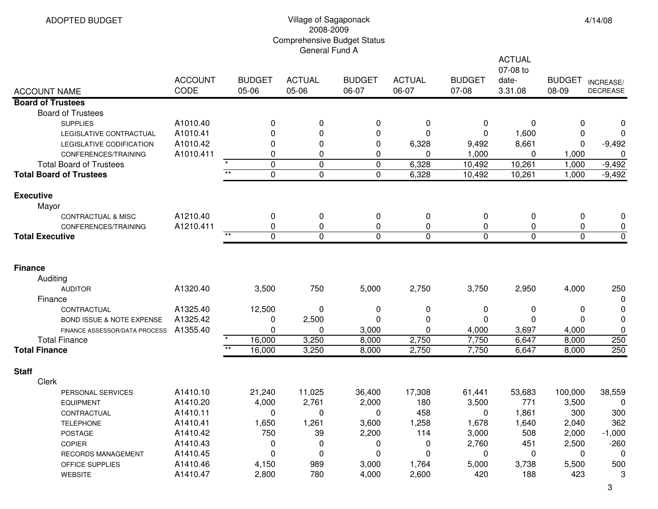## Village of Sagaponack 2008-2009 Comprehensive Budget Status General Fund A

|                                      |                        |                           |                        |                        | <b>ACTUAL</b><br>07-08 to |                        |                  |                        |                              |
|--------------------------------------|------------------------|---------------------------|------------------------|------------------------|---------------------------|------------------------|------------------|------------------------|------------------------------|
| <b>ACCOUNT NAME</b>                  | <b>ACCOUNT</b><br>CODE | <b>BUDGET</b><br>05-06    | <b>ACTUAL</b><br>05-06 | <b>BUDGET</b><br>06-07 | <b>ACTUAL</b><br>06-07    | <b>BUDGET</b><br>07-08 | date-<br>3.31.08 | <b>BUDGET</b><br>08-09 | INCREASE/<br><b>DECREASE</b> |
| <b>Board of Trustees</b>             |                        |                           |                        |                        |                           |                        |                  |                        |                              |
| <b>Board of Trustees</b>             |                        |                           |                        |                        |                           |                        |                  |                        |                              |
| <b>SUPPLIES</b>                      | A1010.40               | 0                         | 0                      | 0                      | 0                         | 0                      | 0                | 0                      |                              |
| LEGISLATIVE CONTRACTUAL              | A1010.41               | 0                         | 0                      | 0                      | 0                         | 0                      | 1,600            | 0                      | 0                            |
| LEGISLATIVE CODIFICATION             | A1010.42               | 0                         | 0                      | 0                      | 6,328                     | 9,492                  | 8,661            | 0                      | $-9,492$                     |
| CONFERENCES/TRAINING                 | A1010.411              | 0                         | 0                      | 0                      | 0                         | 1,000                  | 0                | 1,000                  | 0                            |
| <b>Total Board of Trustees</b>       |                        | $\mathbf 0$               | $\pmb{0}$              | $\boldsymbol{0}$       | 6,328                     | 10,492                 | 10,261           | 1,000                  | $-9,492$                     |
| <b>Total Board of Trustees</b>       |                        | $**$<br>$\overline{0}$    | $\overline{0}$         | $\mathbf 0$            | 6,328                     | 10,492                 | 10,261           | 1,000                  | $-9,492$                     |
| <b>Executive</b>                     |                        |                           |                        |                        |                           |                        |                  |                        |                              |
| Mayor                                |                        |                           |                        |                        |                           |                        |                  |                        |                              |
| <b>CONTRACTUAL &amp; MISC</b>        | A1210.40               | 0                         | 0                      | 0                      | 0                         | 0                      | 0                | 0                      | 0                            |
| CONFERENCES/TRAINING                 | A1210.411              | 0                         | 0                      | 0                      | 0                         | 0                      | 0                | 0                      | 0                            |
| <b>Total Executive</b>               |                        | $**$<br>$\mathbf 0$       | $\mathbf 0$            | $\overline{0}$         | $\Omega$                  | $\Omega$               | $\Omega$         | $\mathbf{0}$           | $\mathbf 0$                  |
| <b>Finance</b>                       |                        |                           |                        |                        |                           |                        |                  |                        |                              |
| Auditing                             |                        |                           |                        |                        |                           |                        |                  |                        |                              |
| <b>AUDITOR</b>                       | A1320.40               | 3,500                     | 750                    | 5,000                  | 2,750                     | 3,750                  | 2,950            | 4,000                  | 250                          |
| Finance                              |                        |                           |                        |                        |                           |                        |                  |                        | 0                            |
| CONTRACTUAL                          | A1325.40               | 12,500                    | 0                      | 0                      | 0                         | 0                      | 0                | 0                      | 0                            |
| <b>BOND ISSUE &amp; NOTE EXPENSE</b> | A1325.42               | 0                         | 2,500                  | 0                      | 0                         | 0                      | 0                | 0                      | 0                            |
| FINANCE ASSESSOR/DATA PROCESS        | A1355.40               | 0                         | 0                      | 3,000                  | 0                         | 4,000                  | 3,697            | 4,000                  | 0                            |
| <b>Total Finance</b>                 |                        | 16,000                    | 3,250                  | 8,000                  | 2,750                     | 7,750                  | 6,647            | 8,000                  | 250                          |
| <b>Total Finance</b>                 |                        | $\overline{**}$<br>16,000 | 3,250                  | 8,000                  | 2,750                     | 7,750                  | 6,647            | 8,000                  | 250                          |
| <b>Staff</b>                         |                        |                           |                        |                        |                           |                        |                  |                        |                              |
| Clerk                                |                        |                           |                        |                        |                           |                        |                  |                        |                              |
| PERSONAL SERVICES                    | A1410.10               | 21,240                    | 11,025                 | 36,400                 | 17,308                    | 61,441                 | 53,683           | 100,000                | 38,559                       |
| <b>EQUIPMENT</b>                     | A1410.20               | 4,000                     | 2,761                  | 2,000                  | 180                       | 3,500                  | 771              | 3,500                  | 0                            |
| CONTRACTUAL                          | A1410.11               | 0                         | 0                      | 0                      | 458                       | 0                      | 1,861            | 300                    | 300                          |
| <b>TELEPHONE</b>                     | A1410.41               | 1,650                     | 1,261                  | 3,600                  | 1,258                     | 1,678                  | 1,640            | 2,040                  | 362                          |
| <b>POSTAGE</b>                       | A1410.42               | 750                       | 39                     | 2,200                  | 114                       | 3,000                  | 508              | 2,000                  | $-1,000$                     |
| COPIER                               | A1410.43               | 0                         | 0                      | 0                      | 0                         | 2,760                  | 451              | 2,500                  | $-260$                       |
| RECORDS MANAGEMENT                   | A1410.45               | 0                         | 0                      | $\mathbf 0$            | 0                         | 0                      | 0                | 0                      | 0                            |
| OFFICE SUPPLIES                      | A1410.46               | 4,150                     | 989                    | 3,000                  | 1,764                     | 5,000                  | 3,738            | 5,500                  | 500                          |
| <b>WEBSITE</b>                       | A1410.47               | 2,800                     | 780                    | 4,000                  | 2,600                     | 420                    | 188              | 423                    | 3                            |
|                                      |                        |                           |                        |                        |                           |                        |                  |                        | 3                            |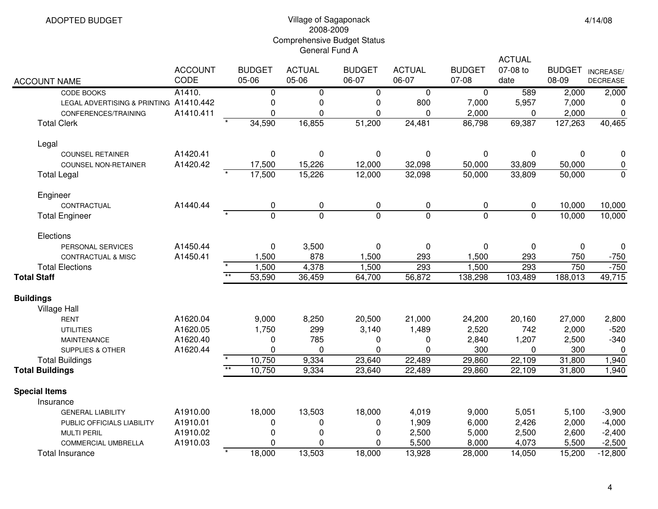# Village of Sagaponack 2008-2009 Comprehensive Budget Status General Fund A

|                                        |                |                        |                |                |                |                | <b>ACTUAL</b> |               |                 |  |
|----------------------------------------|----------------|------------------------|----------------|----------------|----------------|----------------|---------------|---------------|-----------------|--|
|                                        | <b>ACCOUNT</b> | <b>BUDGET</b>          | <b>ACTUAL</b>  | <b>BUDGET</b>  | <b>ACTUAL</b>  | <b>BUDGET</b>  | 07-08 to      | <b>BUDGET</b> | INCREASE/       |  |
| <b>ACCOUNT NAME</b>                    | CODE           | 05-06                  | 05-06          | 06-07          | 06-07          | 07-08          | date          | 08-09         | <b>DECREASE</b> |  |
| CODE BOOKS                             | A1410.         | $\mathbf 0$            | 0              | 0              | 0              | $\mathbf 0$    | 589           | 2,000         | 2,000           |  |
| LEGAL ADVERTISING & PRINTING A1410.442 |                | 0                      | 0              | 0              | 800            | 7,000          | 5,957         | 7,000         | 0               |  |
| CONFERENCES/TRAINING                   | A1410.411      | $\mathbf 0$            | $\mathbf 0$    | 0              | $\overline{0}$ | 2,000          | 0             | 2,000         | $\pmb{0}$       |  |
| <b>Total Clerk</b>                     |                | 34,590                 | 16,855         | 51,200         | 24,481         | 86,798         | 69,387        | 127,263       | 40,465          |  |
| Legal                                  |                |                        |                |                |                |                |               |               |                 |  |
| <b>COUNSEL RETAINER</b>                | A1420.41       | 0                      | 0              | 0              | 0              | 0              | 0             | 0             | 0               |  |
| <b>COUNSEL NON-RETAINER</b>            | A1420.42       | 17,500                 | 15,226         | 12,000         | 32,098         | 50,000         | 33,809        | 50,000        | 0               |  |
| <b>Total Legal</b>                     |                | 17,500                 | 15,226         | 12,000         | 32,098         | 50,000         | 33,809        | 50,000        | $\mathbf 0$     |  |
| Engineer                               |                |                        |                |                |                |                |               |               |                 |  |
| CONTRACTUAL                            | A1440.44       | 0                      | 0              | $\pmb{0}$      | 0              | 0              | 0             | 10,000        | 10,000          |  |
| <b>Total Engineer</b>                  |                | $\Omega$               | $\overline{0}$ | $\overline{0}$ | $\mathbf{0}$   | $\overline{0}$ | $\Omega$      | 10,000        | 10,000          |  |
| Elections                              |                |                        |                |                |                |                |               |               |                 |  |
| PERSONAL SERVICES                      | A1450.44       | $\mathbf 0$            | 3,500          | $\pmb{0}$      | 0              | 0              | $\pmb{0}$     | $\mathbf 0$   | 0               |  |
| <b>CONTRACTUAL &amp; MISC</b>          | A1450.41       | 1,500                  | 878            | 1,500          | 293            | 1,500          | 293           | 750           | $-750$          |  |
| <b>Total Elections</b>                 |                | 1,500                  | 4,378          | 1,500          | 293            | 1,500          | 293           | 750           | $-750$          |  |
| <b>Total Staff</b>                     |                | $**$<br>53,590         | 36,459         | 64,700         | 56,872         | 138,298        | 103,489       | 188,013       | 49,715          |  |
| <b>Buildings</b>                       |                |                        |                |                |                |                |               |               |                 |  |
| Village Hall                           |                |                        |                |                |                |                |               |               |                 |  |
| <b>RENT</b>                            | A1620.04       | 9,000                  | 8,250          | 20,500         | 21,000         | 24,200         | 20,160        | 27,000        | 2,800           |  |
| <b>UTILITIES</b>                       | A1620.05       | 1,750                  | 299            | 3,140          | 1,489          | 2,520          | 742           | 2,000         | $-520$          |  |
| <b>MAINTENANCE</b>                     | A1620.40       | 0                      | 785            | 0              | 0              | 2,840          | 1,207         | 2,500         | $-340$          |  |
| <b>SUPPLIES &amp; OTHER</b>            | A1620.44       | $\Omega$               | $\Omega$       | 0              | $\Omega$       | 300            | 0             | 300           | 0               |  |
| <b>Total Buildings</b>                 |                | 10,750<br>$\star\star$ | 9,334          | 23,640         | 22,489         | 29,860         | 22,109        | 31,800        | 1,940           |  |
| <b>Total Buildings</b>                 |                | 10,750                 | 9,334          | 23,640         | 22,489         | 29,860         | 22,109        | 31,800        | 1,940           |  |
| <b>Special Items</b>                   |                |                        |                |                |                |                |               |               |                 |  |
| Insurance                              |                |                        |                |                |                |                |               |               |                 |  |
| <b>GENERAL LIABILITY</b>               | A1910.00       | 18,000                 | 13,503         | 18,000         | 4,019          | 9,000          | 5,051         | 5,100         | $-3,900$        |  |
| PUBLIC OFFICIALS LIABILITY             | A1910.01       | 0                      | 0              | 0              | 1,909          | 6,000          | 2,426         | 2,000         | $-4,000$        |  |
| <b>MULTI PERIL</b>                     | A1910.02       | 0                      | 0              | 0              | 2,500          | 5,000          | 2,500         | 2,600         | $-2,400$        |  |
| <b>COMMERCIAL UMBRELLA</b>             | A1910.03       | 0                      | 0              | 0              | 5,500          | 8,000          | 4,073         | 5,500         | $-2,500$        |  |
| <b>Total Insurance</b>                 |                | 18,000                 | 13,503         | 18,000         | 13,928         | 28,000         | 14,050        | 15,200        | $-12,800$       |  |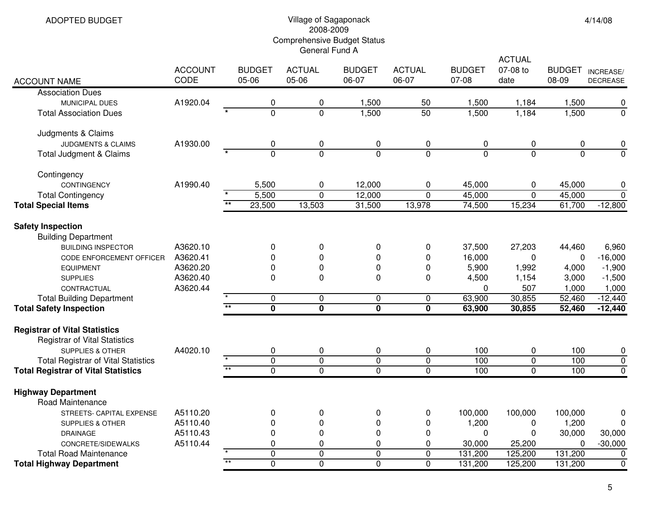ADOPTED BUDGET

## Village of Sagaponack 2008-2009 Comprehensive Budget Status General Fund A

| <b>ACCOUNT NAME</b>                                                                                                                                                          | <b>ACCOUNT</b><br>CODE                                   |                 | <b>BUDGET</b><br>05-06     | <b>ACTUAL</b><br>05-06                       | <b>BUDGET</b><br>06-07     | <b>ACTUAL</b><br>06-07     | <b>BUDGET</b><br>07-08                  | ACTUAL<br>07-08 to<br>date           | <b>BUDGET</b><br>08-09                        | INCREASE/<br><b>DECREASE</b>                        |
|------------------------------------------------------------------------------------------------------------------------------------------------------------------------------|----------------------------------------------------------|-----------------|----------------------------|----------------------------------------------|----------------------------|----------------------------|-----------------------------------------|--------------------------------------|-----------------------------------------------|-----------------------------------------------------|
| <b>Association Dues</b>                                                                                                                                                      |                                                          |                 |                            |                                              |                            |                            |                                         |                                      |                                               |                                                     |
| MUNICIPAL DUES                                                                                                                                                               | A1920.04                                                 |                 | 0                          | $\pmb{0}$                                    | 1,500                      | 50                         | 1,500                                   | 1,184                                | 1,500                                         | 0                                                   |
| <b>Total Association Dues</b>                                                                                                                                                |                                                          |                 | $\overline{0}$             | $\overline{0}$                               | 1,500                      | 50                         | 1,500                                   | 1,184                                | 1,500                                         | $\mathbf 0$                                         |
| Judgments & Claims                                                                                                                                                           |                                                          |                 |                            |                                              |                            |                            |                                         |                                      |                                               |                                                     |
| <b>JUDGMENTS &amp; CLAIMS</b>                                                                                                                                                | A1930.00                                                 |                 | 0                          | $\pmb{0}$                                    | 0                          | $\pmb{0}$                  | 0                                       | 0                                    | 0                                             | 0                                                   |
| Total Judgment & Claims                                                                                                                                                      |                                                          |                 | $\overline{0}$             | $\overline{0}$                               | $\overline{0}$             | $\overline{0}$             | $\overline{0}$                          | $\overline{0}$                       | 0                                             | $\overline{0}$                                      |
| Contingency                                                                                                                                                                  |                                                          |                 |                            |                                              |                            |                            |                                         |                                      |                                               |                                                     |
| <b>CONTINGENCY</b>                                                                                                                                                           | A1990.40                                                 |                 | 5,500                      | $\pmb{0}$                                    | 12,000                     | $\pmb{0}$                  | 45,000                                  | 0                                    | 45,000                                        | 0                                                   |
| <b>Total Contingency</b>                                                                                                                                                     |                                                          | $\star$         | 5,500                      | $\overline{0}$                               | 12,000                     | $\mathbf 0$                | 45,000                                  | $\mathbf 0$                          | 45,000                                        | $\mathbf 0$                                         |
| <b>Total Special Items</b>                                                                                                                                                   |                                                          | $\overline{**}$ | 23,500                     | 13,503                                       | 31,500                     | 13,978                     | 74,500                                  | 15,234                               | 61,700                                        | $-12,800$                                           |
| <b>Safety Inspection</b><br><b>Building Department</b><br><b>BUILDING INSPECTOR</b><br><b>CODE ENFORCEMENT OFFICER</b><br><b>EQUIPMENT</b><br><b>SUPPLIES</b><br>CONTRACTUAL | A3620.10<br>A3620.41<br>A3620.20<br>A3620.40<br>A3620.44 |                 | $\mathbf 0$<br>0<br>0<br>0 | $\pmb{0}$<br>$\mathbf 0$<br>0<br>$\mathbf 0$ | 0<br>0<br>0<br>0           | 0<br>0<br>$\mathbf 0$<br>0 | 37,500<br>16,000<br>5,900<br>4,500<br>0 | 27,203<br>0<br>1,992<br>1,154<br>507 | 44,460<br>$\Omega$<br>4,000<br>3,000<br>1,000 | 6,960<br>$-16,000$<br>$-1,900$<br>$-1,500$<br>1,000 |
| <b>Total Building Department</b>                                                                                                                                             |                                                          |                 | $\mathbf 0$                | $\mathbf 0$                                  | $\mathbf 0$                | $\mathbf 0$                | 63,900                                  | 30,855                               | 52,460                                        | $-12,440$                                           |
| <b>Total Safety Inspection</b>                                                                                                                                               |                                                          | $\overline{**}$ | 0                          | $\overline{\mathbf{0}}$                      | $\overline{\mathbf{0}}$    | $\overline{\mathbf{0}}$    | 63,900                                  | 30,855                               | 52,460                                        | $-12,440$                                           |
| <b>Registrar of Vital Statistics</b><br><b>Registrar of Vital Statistics</b><br><b>SUPPLIES &amp; OTHER</b><br><b>Total Registrar of Vital Statistics</b>                    | A4020.10                                                 |                 | 0<br>$\overline{0}$        | $\pmb{0}$<br>$\overline{0}$                  | 0<br>$\pmb{0}$             | $\pmb{0}$<br>$\pmb{0}$     | 100<br>100                              | 0<br>$\overline{0}$                  | 100<br>100                                    | 0<br>$\pmb{0}$                                      |
| <b>Total Registrar of Vital Statistics</b>                                                                                                                                   |                                                          | $\star\star$    | $\overline{0}$             | $\overline{0}$                               | $\overline{0}$             | $\overline{0}$             | 100                                     | 0                                    | 100                                           | $\overline{0}$                                      |
| <b>Highway Department</b><br><b>Road Maintenance</b>                                                                                                                         |                                                          |                 |                            |                                              |                            |                            |                                         |                                      |                                               |                                                     |
| STREETS- CAPITAL EXPENSE                                                                                                                                                     | A5110.20                                                 |                 | 0                          | $\pmb{0}$                                    | 0                          | 0                          | 100,000                                 | 100,000                              | 100,000                                       | 0                                                   |
| <b>SUPPLIES &amp; OTHER</b>                                                                                                                                                  | A5110.40                                                 |                 | 0                          | 0                                            | 0                          | 0                          | 1,200                                   | 0                                    | 1,200                                         | 0                                                   |
| <b>DRAINAGE</b>                                                                                                                                                              | A5110.43                                                 |                 | 0                          | 0                                            | 0                          | 0                          | $\Omega$                                | 0                                    | 30,000                                        | 30,000                                              |
| CONCRETE/SIDEWALKS                                                                                                                                                           | A5110.44                                                 |                 | 0<br>$\mathbf 0$           | 0<br>$\overline{0}$                          | 0                          | 0                          | 30,000                                  | 25,200                               | 0                                             | $-30,000$                                           |
| <b>Total Road Maintenance</b><br><b>Total Highway Department</b>                                                                                                             |                                                          | $*$             | $\overline{0}$             | $\overline{0}$                               | $\mathbf 0$<br>$\mathbf 0$ | $\mathbf 0$<br>$\mathbf 0$ | 131,200<br>131,200                      | 125,200<br>125,200                   | 131,200<br>131,200                            | $\mathbf 0$<br>$\mathbf 0$                          |
|                                                                                                                                                                              |                                                          |                 |                            |                                              |                            |                            |                                         |                                      |                                               |                                                     |

4/14/08